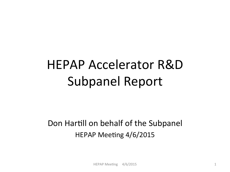# HEPAP Accelerator R&D Subpanel Report

#### Don Hartill on behalf of the Subpanel HEPAP Meeting 4/6/2015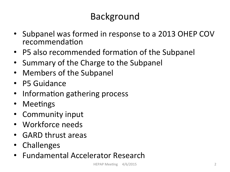# Background

- Subpanel was formed in response to a 2013 OHEP COV recommendation
- P5 also recommended formation of the Subpanel
- Summary of the Charge to the Subpanel
- Members of the Subpanel
- P5 Guidance
- Information gathering process
- Meetings
- Community input
- Workforce needs
- GARD thrust areas
- Challenges
- Fundamental Accelerator Research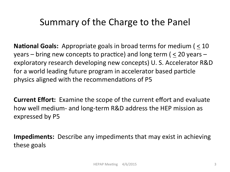# Summary of the Charge to the Panel

**National Goals:** Appropriate goals in broad terms for medium ( $\leq 10$ ) years – bring new concepts to practice) and long term ( $\leq$  20 years – exploratory research developing new concepts) U. S. Accelerator R&D for a world leading future program in accelerator based particle physics aligned with the recommendations of P5

**Current Effort:** Examine the scope of the current effort and evaluate how well medium- and long-term R&D address the HEP mission as expressed by P5

**Impediments:** Describe any impediments that may exist in achieving these goals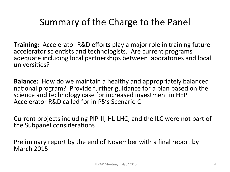# Summary of the Charge to the Panel

**Training:** Accelerator R&D efforts play a major role in training future accelerator scientists and technologists. Are current programs adequate including local partnerships between laboratories and local universities?

**Balance:** How do we maintain a healthy and appropriately balanced national program? Provide further guidance for a plan based on the science and technology case for increased investment in HEP Accelerator R&D called for in P5's Scenario C

Current projects including PIP-II, HL-LHC, and the ILC were not part of the Subpanel considerations

Preliminary report by the end of November with a final report by March 2015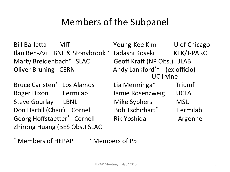# Members of the Subpanel

Marty Breidenbach<sup>•</sup> SLAC **Geoff Kraft (NP Obs.)** JLAB

Bruce Carlsten\* Los Alamos Lia Merminga\* Triumf Roger Dixon Fermilab Jamie Rosenzweig UCLA Steve Gourlay LBNL Mike Syphers MSU Zhirong Huang (BES Obs.) SLAC

Bill Barletta MIT Young-Kee Kim U of Chicago Ilan Ben-Zvi BNL & Stonybrook • Tadashi Koseki KEK/J-PARC Oliver Bruning CERN Andy Lankford\*\* (ex officio)<br>UC Irvine Don Hartill (Chair) Cornell Bob Tschirhart\* Fermilab Georg Hoffstaetter\* Cornell Rik Yoshida Argonne

\* Members of HEPAP • Members of P5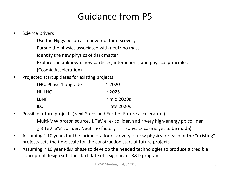# Guidance from P5

- Science Drivers
	- Use the Higgs boson as a new tool for discovery
	- Pursue the physics associated with neutrino mass
	- Identify the new physics of dark matter
	- Explore the unknown: new particles, interactions, and physical principles
	- (Cosmic Acceleration)
- Projected startup dates for existing projects

| LHC: Phase 1 upgrade    | $\approx$ 2020       |
|-------------------------|----------------------|
| HL-LHC                  | $~\sim$ 2025         |
| <b>LBNF</b>             | $\approx$ mid 2020s  |
| $\mathsf{H} \mathsf{C}$ | $\approx$ late 2020s |

• Possible future projects (Next Steps and Further Future accelerators)

Multi-MW proton source, 1 TeV e+e- collider, and  $\sim$ very high-energy pp collider

- $\geq$  3 TeV e<sup>+</sup>e<sup>-</sup> collider, Neutrino factory (physics case is yet to be made)
- Assuming  $\sim$  10 years for the prime era for discovery of new physics for each of the "existing" projects sets the time scale for the construction start of future projects
- Assuming  $\sim$  10 year R&D phase to develop the needed technologies to produce a credible conceptual design sets the start date of a significant R&D program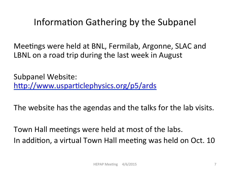# Information Gathering by the Subpanel

Meetings were held at BNL, Fermilab, Argonne, SLAC and LBNL on a road trip during the last week in August

Subpanel Website: http://www.usparticlephysics.org/p5/ards

The website has the agendas and the talks for the lab visits.

Town Hall meetings were held at most of the labs. In addition, a virtual Town Hall meeting was held on Oct. 10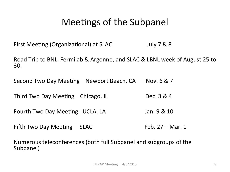### Meetings of the Subpanel

First Meeting (Organizational) at SLAC Triangle 1 July 7 & 8

Road Trip to BNL, Fermilab & Argonne, and SLAC & LBNL week of August 25 to 30. 

Second Two Day Meeting Newport Beach, CA Nov. 6 & 7

Third Two Day Meeting Chicago, IL Dec. 3 & 4

Fourth Two Day Meeting UCLA, LA Jan. 9 & 10

Fifth Two Day Meeting  $SLAC$  Feb. 27 – Mar. 1

Numerous teleconferences (both full Subpanel and subgroups of the Subpanel)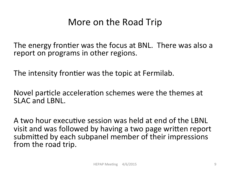#### More on the Road Trip

The energy frontier was the focus at BNL. There was also a report on programs in other regions.

The intensity frontier was the topic at Fermilab.

Novel particle acceleration schemes were the themes at SLAC and LBNL.

A two hour executive session was held at end of the LBNL visit and was followed by having a two page written report submitted by each subpanel member of their impressions from the road trip.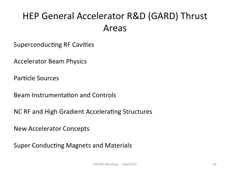# HEP General Accelerator R&D (GARD) Thrust Areas

Superconducting RF Cavities

**Accelerator Beam Physics** 

Particle Sources

Beam Instrumentation and Controls

NC RF and High Gradient Accelerating Structures

New Accelerator Concepts 

Super Conducting Magnets and Materials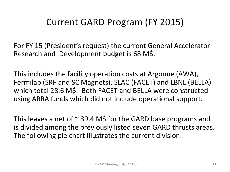# Current GARD Program (FY 2015)

For FY 15 (President's request) the current General Accelerator Research and Development budget is 68 M\$.

This includes the facility operation costs at Argonne (AWA), Fermilab (SRF and SC Magnets), SLAC (FACET) and LBNL (BELLA) which total 28.6 M\$. Both FACET and BELLA were constructed using ARRA funds which did not include operational support.

This leaves a net of  $\sim$  39.4 M\$ for the GARD base programs and is divided among the previously listed seven GARD thrusts areas. The following pie chart illustrates the current division: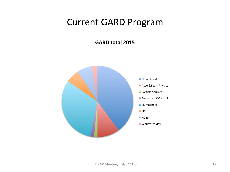#### Current GARD Program

**GARD total 2015** 

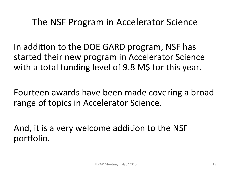#### The NSF Program in Accelerator Science

In addition to the DOE GARD program, NSF has started their new program in Accelerator Science with a total funding level of 9.8 M\$ for this year.

Fourteen awards have been made covering a broad range of topics in Accelerator Science.

And, it is a very welcome addition to the NSF portfolio.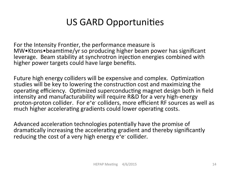# US GARD Opportunities

For the Intensity Frontier, the performance measure is MW•Ktons•beamtime/yr so producing higher beam power has significant leverage. Beam stability at synchrotron injection energies combined with higher power targets could have large benefits.

Future high energy colliders will be expensive and complex. Optimization studies will be key to lowering the construction cost and maximizing the operating efficiency. Optimized superconducting magnet design both in field intensity and manufacturability will require R&D for a very high-energy proton-proton collider. For e<sup>+</sup>e<sup>-</sup> colliders, more efficient RF sources as well as much higher accelerating gradients could lower operating costs.

Advanced acceleration technologies potentially have the promise of dramatically increasing the accelerating gradient and thereby significantly reducing the cost of a very high energy e<sup>+</sup>e<sup>-</sup> collider.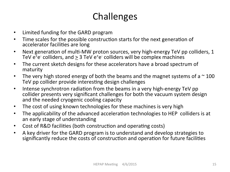# Challenges

- Limited funding for the GARD program
- Time scales for the possible construction starts for the next generation of accelerator facilities are long
- Next generation of multi-MW proton sources, very high-energy TeV pp colliders, 1 TeV  $e^+e^-$  colliders, and  $\geq 3$  TeV  $e^+e^-$  colliders will be complex machines
- The current sketch designs for these accelerators have a broad spectrum of maturity
- The very high stored energy of both the beams and the magnet systems of a  $\sim$  100 TeV pp collider provide interesting design challenges
- Intense synchrotron radiation from the beams in a very high-energy TeV pp collider presents very significant challenges for both the vacuum system design and the needed cryogenic cooling capacity
- The cost of using known technologies for these machines is very high
- The applicability of the advanced acceleration technologies to HEP colliders is at an early stage of understanding
- Cost of R&D facilities (both construction and operating costs)
- A key driver for the GARD program is to understand and develop strategies to significantly reduce the costs of construction and operation for future facilities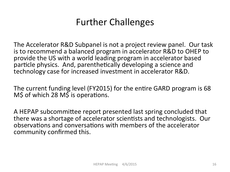# **Further Challenges**

The Accelerator R&D Subpanel is not a project review panel. Our task is to recommend a balanced program in accelerator R&D to OHEP to provide the US with a world leading program in accelerator based particle physics. And, parenthetically developing a science and technology case for increased investment in accelerator R&D.

The current funding level (FY2015) for the entire GARD program is 68  $M$$  of which 28  $M$$  is operations.

A HEPAP subcommittee report presented last spring concluded that there was a shortage of accelerator scientists and technologists. Our observations and conversations with members of the accelerator community confirmed this.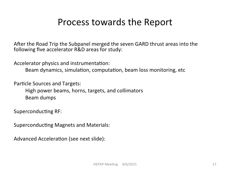#### Process towards the Report

After the Road Trip the Subpanel merged the seven GARD thrust areas into the following five accelerator R&D areas for study:

Accelerator physics and instrumentation:

Beam dynamics, simulation, computation, beam loss monitoring, etc.

Particle Sources and Targets:

High power beams, horns, targets, and collimators Beam dumps 

Superconducting RF:

Superconducting Magnets and Materials:

Advanced Acceleration (see next slide):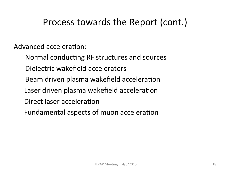# Process towards the Report (cont.)

Advanced acceleration:

Normal conducting RF structures and sources Dielectric wakefield accelerators Beam driven plasma wakefield acceleration Laser driven plasma wakefield acceleration Direct laser acceleration Fundamental aspects of muon acceleration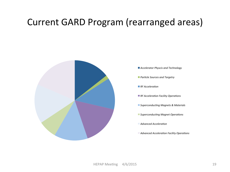# Current GARD Program (rearranged areas)



**Accelerator Physcis and Technology** 

**Particle Sources and Targetry** 

**RF** Acceleration

*RF Acceleration Facility Operations* 

■ Superconducting Magnets & Materials

**Superconducting Magnet Operations** 

*Advanced Acceleration* 

**Advanced Acceleration Facility Operations**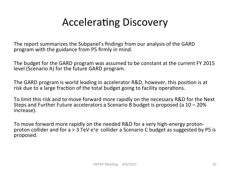# Accelerating Discovery

The report summarizes the Subpanel's findings from our analysis of the GARD program with the guidance from P5 firmly in mind.

The budget for the GARD program was assumed to be constant at the current FY 2015 level (Scenario A) for the future GARD program.

The GARD program is world leading in accelerator R&D, however, this position is at risk due to a large fraction of the total budget going to facility operations.

To limit this risk and to move forward more rapidly on the necessary R&D for the Next Steps and Further Future accelerators a Scenario B budget is proposed (a  $10 - 20\%$ ) increase). 

To move forward more rapidly on the needed R&D for a very high-energy protonproton collider and for a > 3 TeV e<sup>+</sup>e collider a Scenario C budget as suggested by P5 is proposed.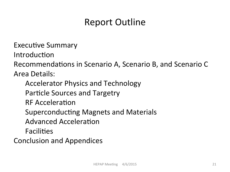# Report Outline

Executive Summary

Introduction

Recommendations in Scenario A, Scenario B, and Scenario C

Area Details: 

Accelerator Physics and Technology Particle Sources and Targetry **RF** Acceleration Superconducting Magnets and Materials Advanced Acceleration Facilities

Conclusion and Appendices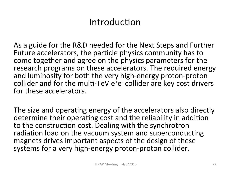# Introduction

As a guide for the R&D needed for the Next Steps and Further Future accelerators, the particle physics community has to come together and agree on the physics parameters for the research programs on these accelerators. The required energy and luminosity for both the very high-energy proton-proton collider and for the multi-TeV  $e^+e^-$  collider are key cost drivers for these accelerators.

The size and operating energy of the accelerators also directly determine their operating cost and the reliability in addition to the construction cost. Dealing with the synchrotron radiation load on the vacuum system and superconducting magnets drives important aspects of the design of these systems for a very high-energy proton-proton collider.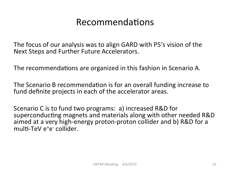### Recommendations

The focus of our analysis was to align GARD with P5's vision of the Next Steps and Further Future Accelerators.

The recommendations are organized in this fashion in Scenario A.

The Scenario B recommendation is for an overall funding increase to fund definite projects in each of the accelerator areas.

Scenario C is to fund two programs: a) increased R&D for superconducting magnets and materials along with other needed R&D aimed at a very high-energy proton-proton collider and b) R&D for a multi-TeV e<sup>+</sup>e<sup>-</sup> collider.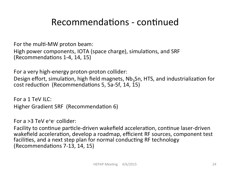### Recommendations - continued

For the multi-MW proton beam:

High power components, IOTA (space charge), simulations, and SRF (Recommendations 1-4, 14, 15)

For a very high-energy proton-proton collider:

Design effort, simulation, high field magnets,  $Nb<sub>3</sub>Sn$ , HTS, and industrialization for cost reduction (Recommendations 5, 5a-5f, 14, 15)

For a 1 TeV II  $C$ : Higher Gradient SRF (Recommendation 6)

For a >3 TeV e<sup>+</sup>e<sup>-</sup> collider:

Facility to continue particle-driven wakefield acceleration, continue laser-driven wakefield acceleration, develop a roadmap, efficient RF sources, component test facilities, and a next step plan for normal conducting RF technology (Recommendations 7-13, 14, 15)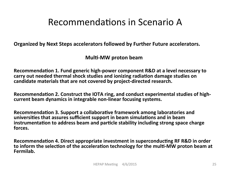#### Recommendations in Scenario A

**Organized by Next Steps accelerators followed by Further Future accelerators.** 

**Multi-MW** proton beam

**Recommendation 1. Fund generic high-power component R&D at a level necessary to** carry out needed thermal shock studies and ionizing radiation damage studies on candidate materials that are not covered by project-directed research.

Recommendation 2. Construct the IOTA ring, and conduct experimental studies of high**current beam dynamics in integrable non-linear focusing systems.** 

**Recommendation 3. Support a collaborative framework among laboratories and** universities that assures sufficient support in beam simulations and in beam **instrumentation to address beam and particle stability including strong space charge** forces.

**Recommendation 4. Direct appropriate investment in superconducting RF R&D in order** to inform the selection of the acceleration technology for the multi-MW proton beam at **Fermilab.**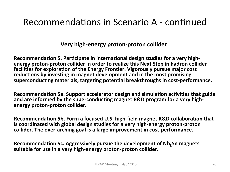#### **Very high-energy proton-proton collider**

Recommendation 5. Participate in international design studies for a very high**energy proton-proton collider in order to realize this Next Step in hadron collider** facilities for exploration of the Energy Frontier. Vigorously pursue major cost reductions by investing in magnet development and in the most promising superconducting materials, targeting potential breakthroughs in cost-performance.

**Recommendation 5a. Support accelerator design and simulation activities that guide** and are informed by the superconducting magnet R&D program for a very high**energy proton-proton collider.** 

**Recommendation 5b. Form a focused U.S. high-field magnet R&D collaboration that is coordinated with global design studies for a very high-energy proton-proton** collider. The over-arching goal is a large improvement in cost-performance.

Recommendation 5c. Aggressively pursue the development of Nb<sub>3</sub>Sn magnets suitable for use in a very high-energy proton-proton collider.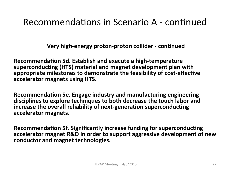**Very high-energy proton-proton collider - continued** 

**Recommendation 5d. Establish and execute a high-temperature** superconducting (HTS) material and magnet development plan with appropriate milestones to demonstrate the feasibility of cost-effective accelerator magnets using HTS.

**Recommendation 5e. Engage industry and manufacturing engineering** disciplines to explore techniques to both decrease the touch labor and increase the overall reliability of next-generation superconducting accelerator magnets.

**Recommendation 5f. Significantly increase funding for superconducting** accelerator magnet R&D in order to support aggressive development of new conductor and magnet technologies.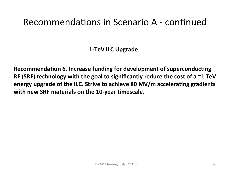**1-TeV ILC Upgrade** 

**Recommendation 6. Increase funding for development of superconducting RF** (SRF) technology with the goal to significantly reduce the cost of a  $\sim$ 1 TeV energy upgrade of the ILC. Strive to achieve 80 MV/m accelerating gradients with new SRF materials on the 10-year timescale.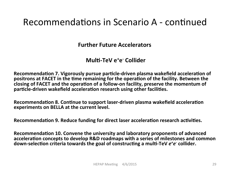**Further Future Accelerators** 

#### **Multi-TeV** e<sup>+</sup>e<sup>-</sup> Collider

**Recommendation 7. Vigorously pursue particle-driven plasma wakefield acceleration of** positrons at FACET in the time remaining for the operation of the facility. Between the closing of FACET and the operation of a follow-on facility, preserve the momentum of particle-driven wakefield acceleration research using other facilities.

**Recommendation 8. Continue to support laser-driven plasma wakefield acceleration experiments on BELLA at the current level.** 

**Recommendation 9. Reduce funding for direct laser acceleration research activities.** 

**Recommendation 10. Convene the university and laboratory proponents of advanced** acceleration concepts to develop R&D roadmaps with a series of milestones and common down-selection criteria towards the goal of constructing a multi-TeV  $e^+e^-$  collider.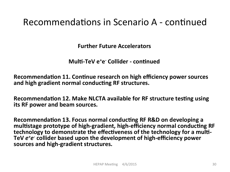**Further Future Accelerators** 

**Multi-TeV eted Collider - continued** 

**Recommendation 11. Continue research on high efficiency power sources** and high gradient normal conducting RF structures.

**Recommendation 12. Make NLCTA available for RF structure testing using its RF power and beam sources.** 

**Recommendation 13. Focus normal conducting RF R&D on developing a** multistage prototype of high-gradient, high-efficiency normal conducting RF technology to demonstrate the effectiveness of the technology for a multi-TeV  $e^+e^-$  collider based upon the development of high-efficiency power sources and high-gradient structures.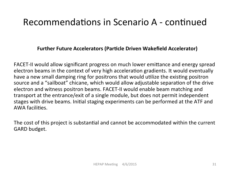#### **Further Future Accelerators (Particle Driven Wakefield Accelerator)**

FACET-II would allow significant progress on much lower emittance and energy spread electron beams in the context of very high acceleration gradients. It would eventually have a new small damping ring for positrons that would utilize the existing positron source and a "sailboat" chicane, which would allow adjustable separation of the drive electron and witness positron beams. FACET-II would enable beam matching and transport at the entrance/exit of a single module, but does not permit independent stages with drive beams. Initial staging experiments can be performed at the ATF and AWA facilities.

The cost of this project is substantial and cannot be accommodated within the current GARD budget.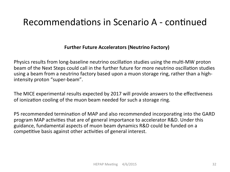#### **Further Future Accelerators (Neutrino Factory)**

Physics results from long-baseline neutrino oscillation studies using the multi-MW proton beam of the Next Steps could call in the further future for more neutrino oscillation studies using a beam from a neutrino factory based upon a muon storage ring, rather than a highintensity proton "super-beam".

The MICE experimental results expected by 2017 will provide answers to the effectiveness of ionization cooling of the muon beam needed for such a storage ring.

P5 recommended termination of MAP and also recommended incorporating into the GARD program MAP activities that are of general importance to accelerator R&D. Under this guidance, fundamental aspects of muon beam dynamics R&D could be funded on a competitive basis against other activities of general interest.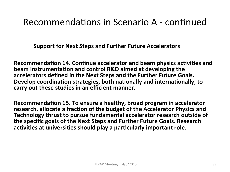**Support for Next Steps and Further Future Accelerators** 

**Recommendation 14. Continue accelerator and beam physics activities and beam instrumentation and control R&D aimed at developing the** accelerators defined in the Next Steps and the Further Future Goals. Develop coordination strategies, both nationally and internationally, to carry out these studies in an efficient manner.

**Recommendation 15. To ensure a healthy, broad program in accelerator** research, allocate a fraction of the budget of the Accelerator Physics and Technology thrust to pursue fundamental accelerator research outside of **the specific goals of the Next Steps and Further Future Goals. Research** activities at universities should play a particularly important role.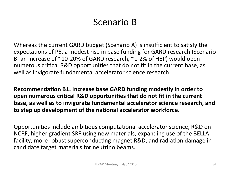# Scenario B

Whereas the current GARD budget (Scenario A) is insufficient to satisfy the expectations of P5, a modest rise in base funding for GARD research (Scenario B: an increase of  $^{\sim}10$ -20% of GARD research,  $^{\sim}1$ -2% of HEP) would open numerous critical R&D opportunities that do not fit in the current base, as well as invigorate fundamental accelerator science research.

Recommendation B1. Increase base GARD funding modestly in order to **open numerous critical R&D opportunities that do not fit in the current base, as well as to invigorate fundamental accelerator science research, and** to step up development of the national accelerator workforce.

Opportunities include ambitious computational accelerator science, R&D on NCRF, higher gradient SRF using new materials, expanding use of the BELLA facility, more robust superconducting magnet R&D, and radiation damage in candidate target materials for neutrino beams.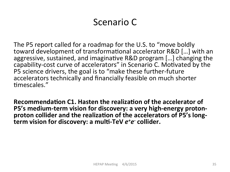The P5 report called for a roadmap for the U.S. to "move boldly toward development of transformational accelerator R&D [...] with an aggressive, sustained, and imaginative R&D program [...] changing the capability-cost curve of accelerators" in Scenario C. Motivated by the P5 science drivers, the goal is to "make these further-future accelerators technically and financially feasible on much shorter timescales."

**Recommendation C1. Hasten the realization of the accelerator of P5's medium-term vision for discovery: a very high-energy proton**proton collider and the realization of the accelerators of P5's longterm vision for discovery: a multi-TeV  $e^+e^-$  collider.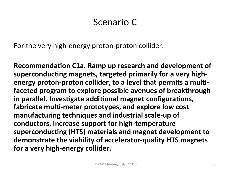For the very high-energy proton-proton collider:

**Recommendation C1a. Ramp up research and development of** superconducting magnets, targeted primarily for a very high**energy proton-proton collider, to a level that permits a multifaceted program to explore possible avenues of breakthrough** in parallel. Investigate additional magnet configurations, fabricate multi-meter prototypes, and explore low cost manufacturing techniques and industrial scale-up of conductors. Increase support for high-temperature superconducting (HTS) materials and magnet development to demonstrate the viability of accelerator-quality HTS magnets for a very high-energy collider.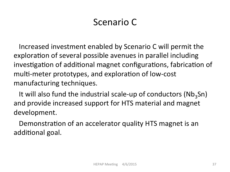Increased investment enabled by Scenario C will permit the exploration of several possible avenues in parallel including investigation of additional magnet configurations, fabrication of multi-meter prototypes, and exploration of low-cost manufacturing techniques.

It will also fund the industrial scale-up of conductors (Nb<sub>3</sub>Sn) and provide increased support for HTS material and magnet development. 

Demonstration of an accelerator quality HTS magnet is an additional goal.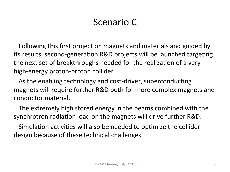Following this first project on magnets and materials and guided by its results, second-generation R&D projects will be launched targeting the next set of breakthroughs needed for the realization of a very high-energy proton-proton collider.

As the enabling technology and cost-driver, superconducting magnets will require further R&D both for more complex magnets and conductor material. 

The extremely high stored energy in the beams combined with the synchrotron radiation load on the magnets will drive further R&D.

Simulation activities will also be needed to optimize the collider design because of these technical challenges.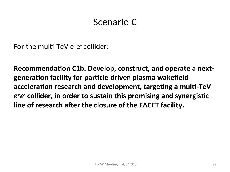For the multi-TeV e<sup>+</sup>e<sup>-</sup> collider:

Recommendation C1b. Develop, construct, and operate a next**genera#on facility for par#cle-driven plasma wakefield** acceleration research and development, targeting a multi-TeV  $e^+e^-$  collider, in order to sustain this promising and synergistic line of research after the closure of the FACET facility.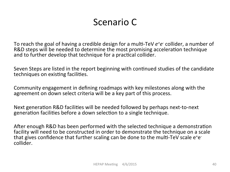To reach the goal of having a credible design for a multi-TeV  $e^+e^-$  collider, a number of R&D steps will be needed to determine the most promising acceleration technique and to further develop that technique for a practical collider.

Seven Steps are listed in the report beginning with continued studies of the candidate techniques on existing facilities.

Community engagement in defining roadmaps with key milestones along with the agreement on down select criteria will be a key part of this process.

Next generation R&D facilities will be needed followed by perhaps next-to-next generation facilities before a down selection to a single technique.

After enough R&D has been performed with the selected technique a demonstration facility will need to be constructed in order to demonstrate the technique on a scale that gives confidence that further scaling can be done to the multi-TeV scale  $e^+e^$ collider.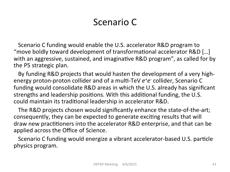Scenario C funding would enable the U.S. accelerator R&D program to "move boldly toward development of transformational accelerator  $R&D$  [...] with an aggressive, sustained, and imaginative R&D program", as called for by the P5 strategic plan.

By funding R&D projects that would hasten the development of a very highenergy proton-proton collider and of a multi-TeV  $e^+e^-$  collider, Scenario C funding would consolidate R&D areas in which the U.S. already has significant strengths and leadership positions. With this additional funding, the U.S. could maintain its traditional leadership in accelerator R&D.

The R&D projects chosen would significantly enhance the state-of-the-art; consequently, they can be expected to generate exciting results that will draw new practitioners into the accelerator R&D enterprise, and that can be applied across the Office of Science.

Scenario C funding would energize a vibrant accelerator-based U.S. particle physics program.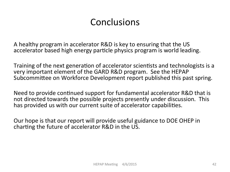# **Conclusions**

A healthy program in accelerator R&D is key to ensuring that the US accelerator based high energy particle physics program is world leading.

Training of the next generation of accelerator scientists and technologists is a very important element of the GARD R&D program. See the HEPAP Subcommittee on Workforce Development report published this past spring.

Need to provide continued support for fundamental accelerator R&D that is not directed towards the possible projects presently under discussion. This has provided us with our current suite of accelerator capabilities.

Our hope is that our report will provide useful guidance to DOE OHEP in charting the future of accelerator R&D in the US.